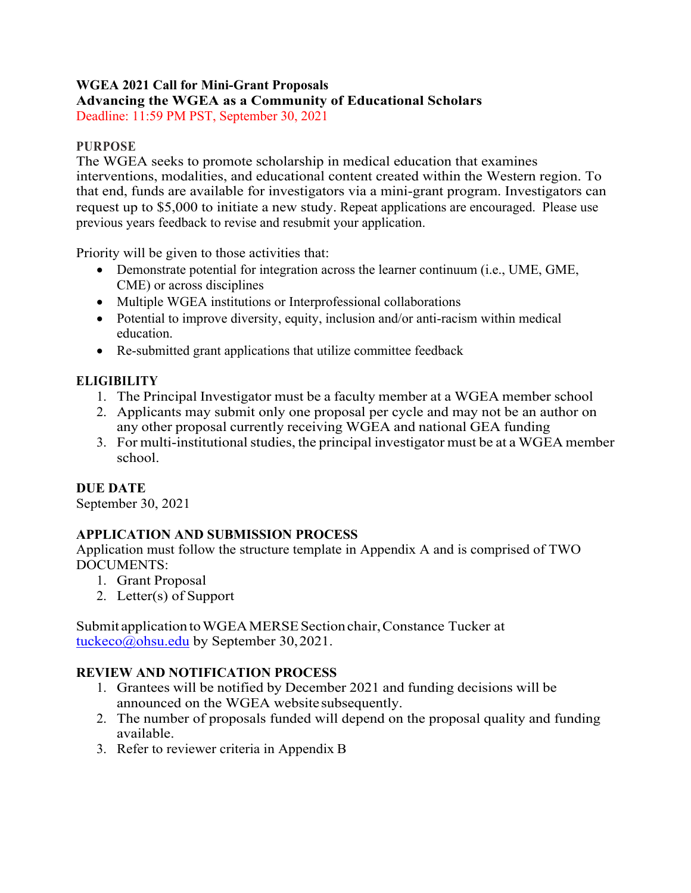## **WGEA 2021 Call for Mini-Grant Proposals Advancing the WGEA as a Community of Educational Scholars**

Deadline: 11:59 PM PST, September 30, 2021

## **PURPOSE**

The WGEA seeks to promote scholarship in medical education that examines interventions, modalities, and educational content created within the Western region. To that end, funds are available for investigators via a mini-grant program. Investigators can request up to \$5,000 to initiate a new study. Repeat applications are encouraged. Please use previous years feedback to revise and resubmit your application.

Priority will be given to those activities that:

- Demonstrate potential for integration across the learner continuum (i.e., UME, GME, CME) or across disciplines
- Multiple WGEA institutions or Interprofessional collaborations
- Potential to improve diversity, equity, inclusion and/or anti-racism within medical education.
- Re-submitted grant applications that utilize committee feedback

## **ELIGIBILITY**

- 1. The Principal Investigator must be a faculty member at a WGEA member school
- 2. Applicants may submit only one proposal per cycle and may not be an author on any other proposal currently receiving WGEA and national GEA funding
- 3. For multi-institutional studies, the principal investigator must be at a WGEA member school.

## **DUE DATE**

September 30, 2021

## **APPLICATION AND SUBMISSION PROCESS**

Application must follow the structure template in Appendix A and is comprised of TWO DOCUMENTS:

- 1. Grant Proposal
- 2. Letter(s) of Support

Submit application to WGEA MERSE Section chair, Constance Tucker at tuckeco@ohsu.edu by September 30,2021.

## **REVIEW AND NOTIFICATION PROCESS**

- 1. Grantees will be notified by December 2021 and funding decisions will be announced on the WGEA website subsequently.
- 2. The number of proposals funded will depend on the proposal quality and funding available.
- 3. Refer to reviewer criteria in Appendix B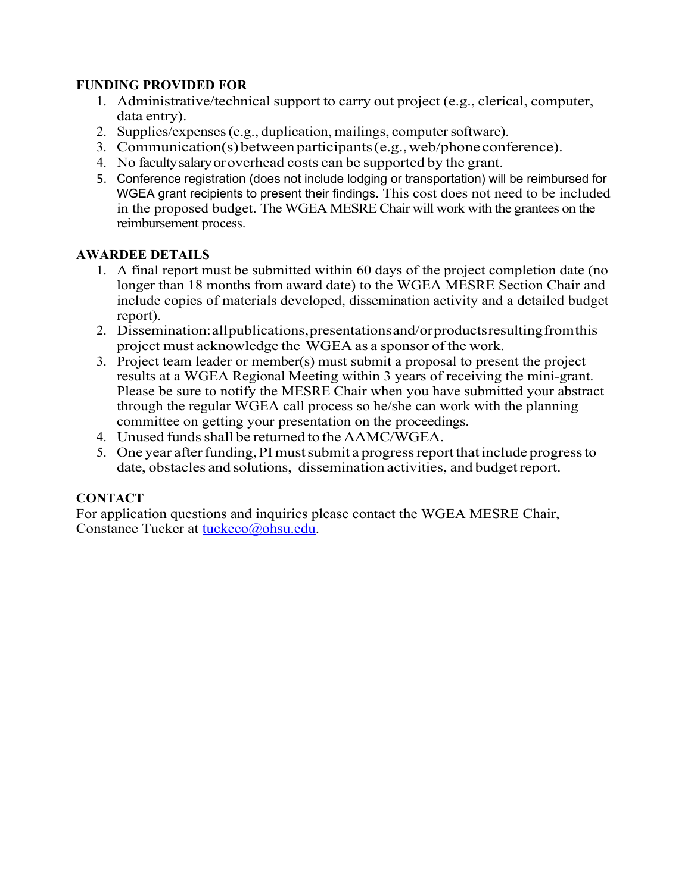## **FUNDING PROVIDED FOR**

- 1. Administrative/technical support to carry out project (e.g., clerical, computer, data entry).
- 2. Supplies/expenses (e.g., duplication, mailings, computer software).
- 3. Communication(s)betweenparticipants(e.g.,web/phone conference).
- 4. No facultysalaryoroverhead costs can be supported by the grant.
- 5. Conference registration (does not include lodging or transportation) will be reimbursed for WGEA grant recipients to present their findings. This cost does not need to be included in the proposed budget. The WGEA MESRE Chair will work with the grantees on the reimbursement process.

## **AWARDEE DETAILS**

- 1. A final report must be submitted within 60 days of the project completion date (no longer than 18 months from award date) to the WGEA MESRE Section Chair and include copies of materials developed, dissemination activity and a detailed budget report).
- 2. Dissemination:allpublications,presentationsand/orproductsresultingfromthis project must acknowledge the WGEA as a sponsor of the work.
- 3. Project team leader or member(s) must submit a proposal to present the project results at a WGEA Regional Meeting within 3 years of receiving the mini-grant. Please be sure to notify the MESRE Chair when you have submitted your abstract through the regular WGEA call process so he/she can work with the planning committee on getting your presentation on the proceedings.
- 4. Unused funds shall be returned to the AAMC/WGEA.
- 5. One year after funding, PI must submit a progress report that include progress to date, obstacles and solutions, dissemination activities, and budget report.

## **CONTACT**

For application questions and inquiries please contact the WGEA MESRE Chair, Constance Tucker at tuckeco@ohsu.edu.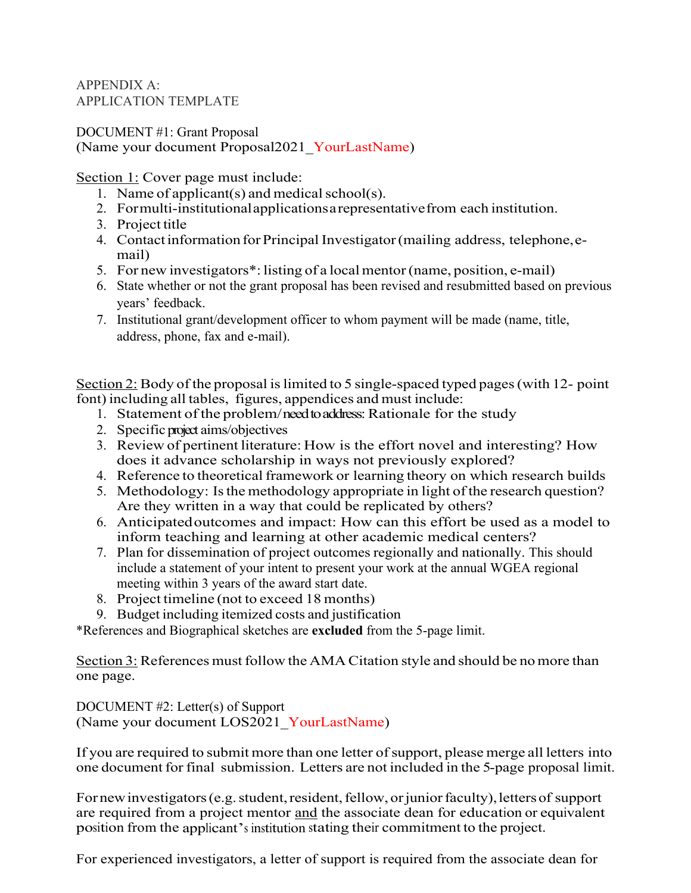#### APPENDIX A: APPLICATION TEMPLATE

DOCUMENT #1: Grant Proposal (Name your document Proposal2021 YourLastName)

Section 1: Cover page must include:

- 1. Name of applicant(s) and medical school(s).
- 2. Formulti-institutionalapplicationsarepresentativefrom each institution.
- 3. Project title
- 4. Contact information for Principal Investigator (mailing address, telephone, email)
- 5. For new investigators\*: listing of a localmentor(name, position, e-mail)
- 6. State whether or not the grant proposal has been revised and resubmitted based on previous years' feedback.
- 7. Institutional grant/development officer to whom payment will be made (name, title, address, phone, fax and e-mail).

Section 2: Body of the proposal is limited to 5 single-spaced typed pages (with  $12$ - point font) including all tables, figures, appendices and must include:

- 1. Statement of the problem/need to address: Rationale for the study
- 2. Specific project aims/objectives
- 3. Review of pertinent literature: How is the effort novel and interesting? How does it advance scholarship in ways not previously explored?
- 4. Reference to theoretical framework or learning theory on which research builds
- 5. Methodology: Is the methodology appropriate in light of the research question? Are they written in a way that could be replicated by others?
- 6. Anticipatedoutcomes and impact: How can this effort be used as a model to inform teaching and learning at other academic medical centers?
- 7. Plan for dissemination of project outcomes regionally and nationally. This should include a statement of your intent to present your work at the annual WGEA regional meeting within 3 years of the award start date.
- 8. Project timeline (not to exceed 18 months)
- 9. Budget including itemized costs and justification

\*References and Biographical sketches are **excluded** from the 5-page limit.

Section 3: References must follow the AMA Citation style and should be no more than one page.

DOCUMENT #2: Letter(s) of Support (Name your document LOS2021\_YourLastName)

If you are required to submit more than one letter of support, please merge all letters into one document for final submission. Letters are not included in the 5-page proposal limit.

For new investigators (e.g. student, resident, fellow, or junior faculty), letters of support are required from a project mentor and the associate dean for education or equivalent position from the applicant's institution stating their commitment to the project.

For experienced investigators, a letter of support is required from the associate dean for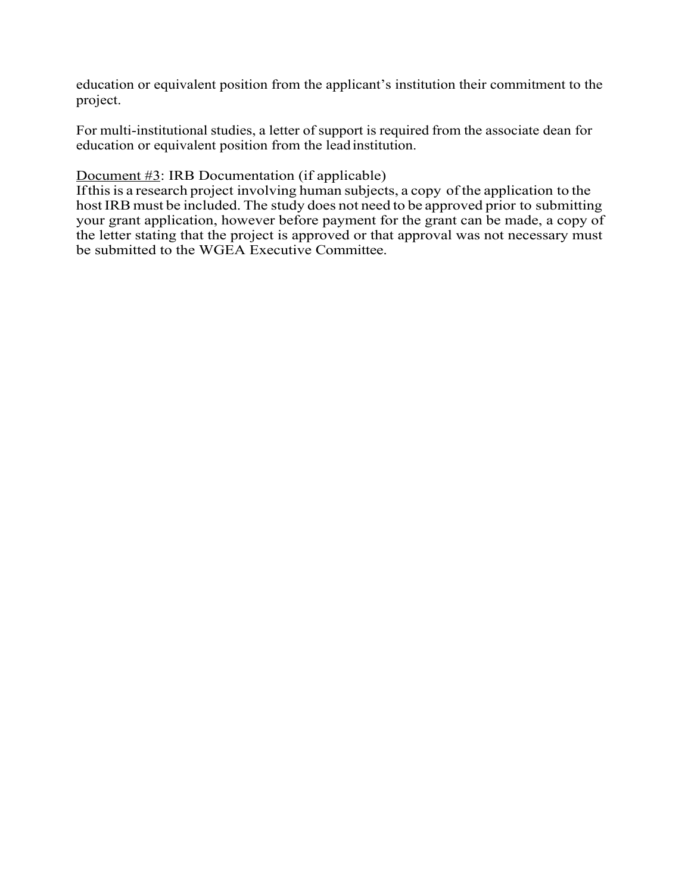education or equivalent position from the applicant's institution their commitment to the project.

For multi-institutional studies, a letter of support is required from the associate dean for education or equivalent position from the leadinstitution.

#### Document #3: IRB Documentation (if applicable)

If this is a research project involving human subjects, a copy of the application to the hostIRB must be included. The study does not need to be approved prior to submitting your grant application, however before payment for the grant can be made, a copy of the letter stating that the project is approved or that approval was not necessary must be submitted to the WGEA Executive Committee.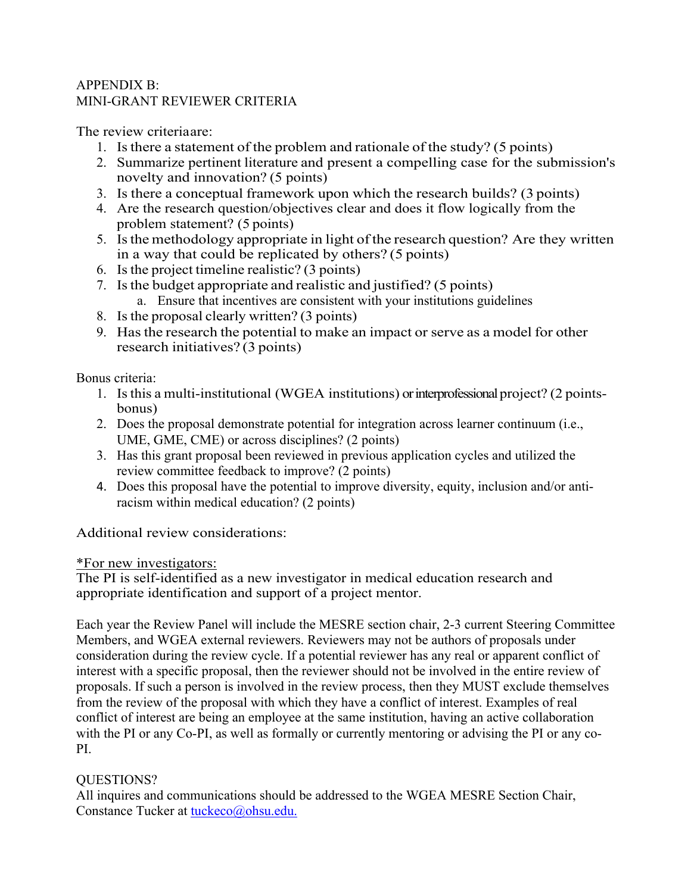#### APPENDIX B: MINI-GRANT REVIEWER CRITERIA

The review criteriaare:

- 1. Isthere a statement of the problem and rationale of the study? (5 points)
- 2. Summarize pertinent literature and present a compelling case for the submission's novelty and innovation? (5 points)
- 3. Is there a conceptual framework upon which the research builds? (3 points)
- 4. Are the research question/objectives clear and does it flow logically from the problem statement? (5 points)
- 5. Is the methodology appropriate in light of the research question? Are they written in a way that could be replicated by others? (5 points)
- 6. Isthe project timeline realistic? (3 points)
- 7. Isthe budget appropriate and realistic and justified? (5 points) a. Ensure that incentives are consistent with your institutions guidelines
- 8. Isthe proposal clearly written? (3 points)
- 9. Hasthe research the potential to make an impact or serve as a model for other research initiatives? (3 points)

Bonus criteria:

- 1. Isthis a multi-institutional (WGEA institutions) or interprofessional project? (2 pointsbonus)
- 2. Does the proposal demonstrate potential for integration across learner continuum (i.e., UME, GME, CME) or across disciplines? (2 points)
- 3. Has this grant proposal been reviewed in previous application cycles and utilized the review committee feedback to improve? (2 points)
- 4. Does this proposal have the potential to improve diversity, equity, inclusion and/or antiracism within medical education? (2 points)

Additional review considerations:

#### \*For new investigators:

The PI is self-identified as a new investigator in medical education research and appropriate identification and support of a project mentor.

Each year the Review Panel will include the MESRE section chair, 2-3 current Steering Committee Members, and WGEA external reviewers. Reviewers may not be authors of proposals under consideration during the review cycle. If a potential reviewer has any real or apparent conflict of interest with a specific proposal, then the reviewer should not be involved in the entire review of proposals. If such a person is involved in the review process, then they MUST exclude themselves from the review of the proposal with which they have a conflict of interest. Examples of real conflict of interest are being an employee at the same institution, having an active collaboration with the PI or any Co-PI, as well as formally or currently mentoring or advising the PI or any co-PI.

## QUESTIONS?

All inquires and communications should be addressed to the WGEA MESRE Section Chair, Constance Tucker at tuckeco@ohsu.edu.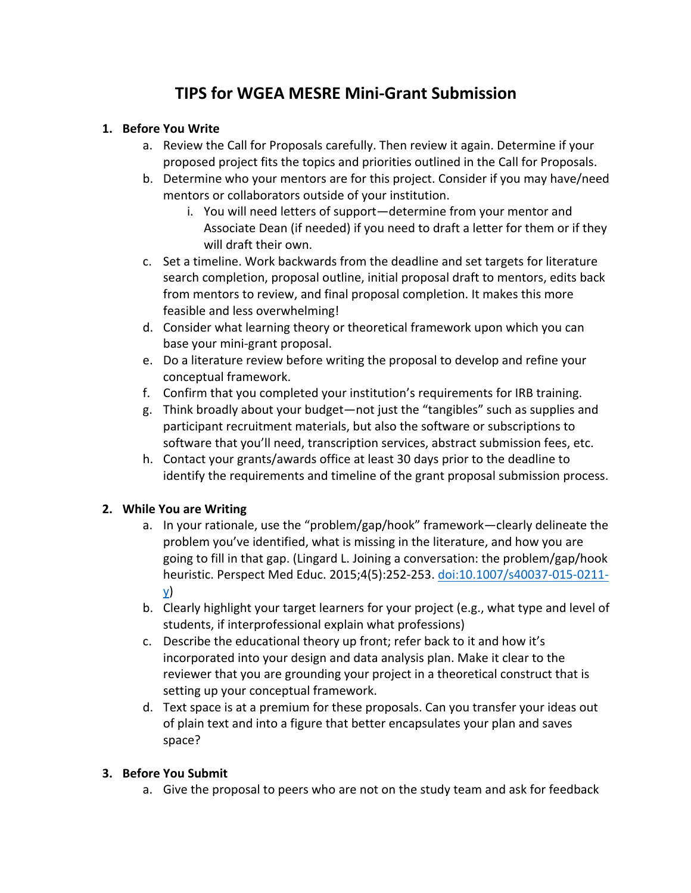# **TIPS for WGEA MESRE Mini-Grant Submission**

### **1. Before You Write**

- a. Review the Call for Proposals carefully. Then review it again. Determine if your proposed project fits the topics and priorities outlined in the Call for Proposals.
- b. Determine who your mentors are for this project. Consider if you may have/need mentors or collaborators outside of your institution.
	- i. You will need letters of support—determine from your mentor and Associate Dean (if needed) if you need to draft a letter for them or if they will draft their own.
- c. Set a timeline. Work backwards from the deadline and set targets for literature search completion, proposal outline, initial proposal draft to mentors, edits back from mentors to review, and final proposal completion. It makes this more feasible and less overwhelming!
- d. Consider what learning theory or theoretical framework upon which you can base your mini-grant proposal.
- e. Do a literature review before writing the proposal to develop and refine your conceptual framework.
- f. Confirm that you completed your institution's requirements for IRB training.
- g. Think broadly about your budget—not just the "tangibles" such as supplies and participant recruitment materials, but also the software or subscriptions to software that you'll need, transcription services, abstract submission fees, etc.
- h. Contact your grants/awards office at least 30 days prior to the deadline to identify the requirements and timeline of the grant proposal submission process.

## **2. While You are Writing**

- a. In your rationale, use the "problem/gap/hook" framework—clearly delineate the problem you've identified, what is missing in the literature, and how you are going to fill in that gap. (Lingard L. Joining a conversation: the problem/gap/hook heuristic. Perspect Med Educ. 2015;4(5):252-253. doi:10.1007/s40037-015-0211 y)
- b. Clearly highlight your target learners for your project (e.g., what type and level of students, if interprofessional explain what professions)
- c. Describe the educational theory up front; refer back to it and how it's incorporated into your design and data analysis plan. Make it clear to the reviewer that you are grounding your project in a theoretical construct that is setting up your conceptual framework.
- d. Text space is at a premium for these proposals. Can you transfer your ideas out of plain text and into a figure that better encapsulates your plan and saves space?

#### **3. Before You Submit**

a. Give the proposal to peers who are not on the study team and ask for feedback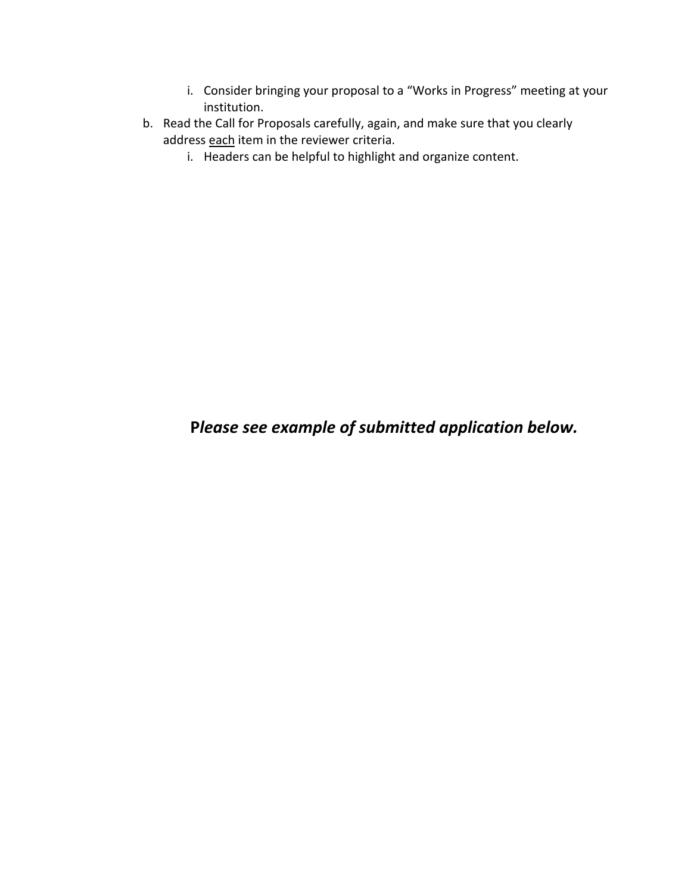- i. Consider bringing your proposal to a "Works in Progress" meeting at your institution.
- b. Read the Call for Proposals carefully, again, and make sure that you clearly address each item in the reviewer criteria.
	- i. Headers can be helpful to highlight and organize content.

# **P***lease see example of submitted application below.*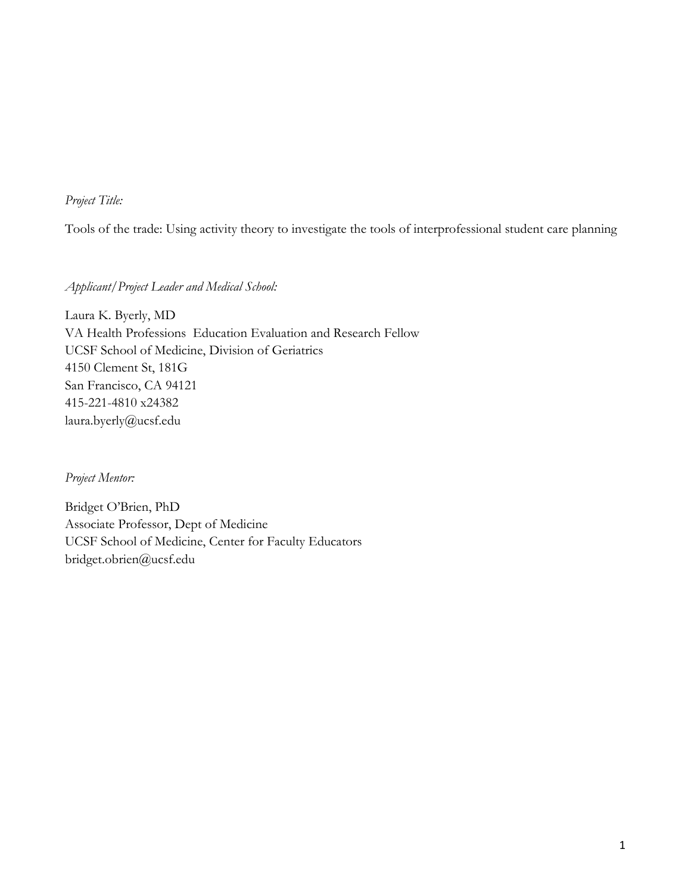### *Project Title:*

Tools of the trade: Using activity theory to investigate the tools of interprofessional student care planning

*Applicant/Project Leader and Medical School:* 

Laura K. Byerly, MD VA Health Professions Education Evaluation and Research Fellow UCSF School of Medicine, Division of Geriatrics 4150 Clement St, 181G San Francisco, CA 94121 415-221-4810 x24382 laura.byerly@ucsf.edu

*Project Mentor:*

Bridget O'Brien, PhD Associate Professor, Dept of Medicine UCSF School of Medicine, Center for Faculty Educators bridget.obrien@ucsf.edu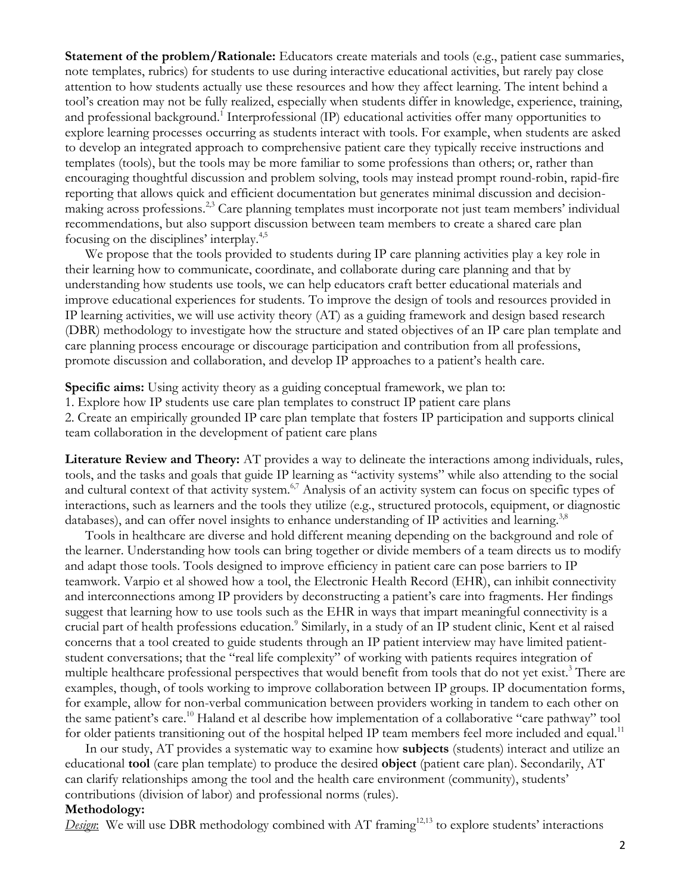**Statement of the problem/Rationale:** Educators create materials and tools (e.g., patient case summaries, note templates, rubrics) for students to use during interactive educational activities, but rarely pay close attention to how students actually use these resources and how they affect learning. The intent behind a tool's creation may not be fully realized, especially when students differ in knowledge, experience, training, and professional background.<sup>1</sup> Interprofessional (IP) educational activities offer many opportunities to explore learning processes occurring as students interact with tools. For example, when students are asked to develop an integrated approach to comprehensive patient care they typically receive instructions and templates (tools), but the tools may be more familiar to some professions than others; or, rather than encouraging thoughtful discussion and problem solving, tools may instead prompt round-robin, rapid-fire reporting that allows quick and efficient documentation but generates minimal discussion and decisionmaking across professions.<sup>2,3</sup> Care planning templates must incorporate not just team members' individual recommendations, but also support discussion between team members to create a shared care plan focusing on the disciplines' interplay.<sup>4,5</sup>

We propose that the tools provided to students during IP care planning activities play a key role in their learning how to communicate, coordinate, and collaborate during care planning and that by understanding how students use tools, we can help educators craft better educational materials and improve educational experiences for students. To improve the design of tools and resources provided in IP learning activities, we will use activity theory (AT) as a guiding framework and design based research (DBR) methodology to investigate how the structure and stated objectives of an IP care plan template and care planning process encourage or discourage participation and contribution from all professions, promote discussion and collaboration, and develop IP approaches to a patient's health care.

**Specific aims:** Using activity theory as a guiding conceptual framework, we plan to:

1. Explore how IP students use care plan templates to construct IP patient care plans

2. Create an empirically grounded IP care plan template that fosters IP participation and supports clinical team collaboration in the development of patient care plans

**Literature Review and Theory:** AT provides a way to delineate the interactions among individuals, rules, tools, and the tasks and goals that guide IP learning as "activity systems" while also attending to the social and cultural context of that activity system.<sup>6,7</sup> Analysis of an activity system can focus on specific types of interactions, such as learners and the tools they utilize (e.g., structured protocols, equipment, or diagnostic databases), and can offer novel insights to enhance understanding of IP activities and learning.<sup>3,8</sup>

Tools in healthcare are diverse and hold different meaning depending on the background and role of the learner. Understanding how tools can bring together or divide members of a team directs us to modify and adapt those tools. Tools designed to improve efficiency in patient care can pose barriers to IP teamwork. Varpio et al showed how a tool, the Electronic Health Record (EHR), can inhibit connectivity and interconnections among IP providers by deconstructing a patient's care into fragments. Her findings suggest that learning how to use tools such as the EHR in ways that impart meaningful connectivity is a crucial part of health professions education.<sup>9</sup> Similarly, in a study of an IP student clinic, Kent et al raised concerns that a tool created to guide students through an IP patient interview may have limited patientstudent conversations; that the "real life complexity" of working with patients requires integration of multiple healthcare professional perspectives that would benefit from tools that do not yet exist. <sup>3</sup> There are examples, though, of tools working to improve collaboration between IP groups. IP documentation forms, for example, allow for non-verbal communication between providers working in tandem to each other on the same patient's care.<sup>10</sup> Haland et al describe how implementation of a collaborative "care pathway" tool for older patients transitioning out of the hospital helped IP team members feel more included and equal.<sup>11</sup>

In our study, AT provides a systematic way to examine how **subjects** (students) interact and utilize an educational **tool** (care plan template) to produce the desired **object** (patient care plan). Secondarily, AT can clarify relationships among the tool and the health care environment (community), students' contributions (division of labor) and professional norms (rules).

#### **Methodology:**

*Design*: We will use DBR methodology combined with AT framing<sup>12,13</sup> to explore students' interactions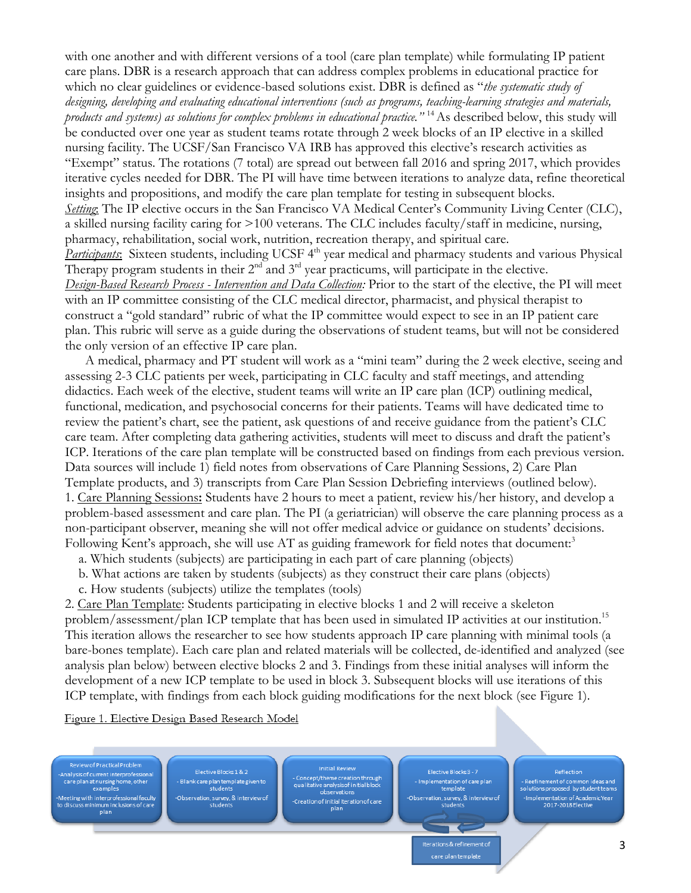with one another and with different versions of a tool (care plan template) while formulating IP patient care plans. DBR is a research approach that can address complex problems in educational practice for which no clear guidelines or evidence-based solutions exist. DBR is defined as "*the systematic study of designing, developing and evaluating educational interventions (such as programs, teaching-learning strategies and materials, products and systems) as solutions for complex problems in educational practice."* <sup>14</sup>As described below, this study will be conducted over one year as student teams rotate through 2 week blocks of an IP elective in a skilled nursing facility. The UCSF/San Francisco VA IRB has approved this elective's research activities as "Exempt" status. The rotations (7 total) are spread out between fall 2016 and spring 2017, which provides iterative cycles needed for DBR. The PI will have time between iterations to analyze data, refine theoretical insights and propositions, and modify the care plan template for testing in subsequent blocks. *Setting*: The IP elective occurs in the San Francisco VA Medical Center's Community Living Center (CLC), a skilled nursing facility caring for >100 veterans. The CLC includes faculty/staff in medicine, nursing, pharmacy, rehabilitation, social work, nutrition, recreation therapy, and spiritual care. *Participants*: Sixteen students, including UCSF 4<sup>th</sup> year medical and pharmacy students and various Physical Therapy program students in their  $2<sup>nd</sup>$  and  $3<sup>rd</sup>$  year practicums, will participate in the elective. *Design-Based Research Process - Intervention and Data Collection:* Prior to the start of the elective, the PI will meet with an IP committee consisting of the CLC medical director, pharmacist, and physical therapist to construct a "gold standard" rubric of what the IP committee would expect to see in an IP patient care plan. This rubric will serve as a guide during the observations of student teams, but will not be considered the only version of an effective IP care plan.

A medical, pharmacy and PT student will work as a "mini team" during the 2 week elective, seeing and assessing 2-3 CLC patients per week, participating in CLC faculty and staff meetings, and attending didactics. Each week of the elective, student teams will write an IP care plan (ICP) outlining medical, functional, medication, and psychosocial concerns for their patients. Teams will have dedicated time to review the patient's chart, see the patient, ask questions of and receive guidance from the patient's CLC care team. After completing data gathering activities, students will meet to discuss and draft the patient's ICP. Iterations of the care plan template will be constructed based on findings from each previous version. Data sources will include 1) field notes from observations of Care Planning Sessions, 2) Care Plan Template products, and 3) transcripts from Care Plan Session Debriefing interviews (outlined below). 1. Care Planning Sessions**:** Students have 2 hours to meet a patient, review his/her history, and develop a problem-based assessment and care plan. The PI (a geriatrician) will observe the care planning process as a non-participant observer, meaning she will not offer medical advice or guidance on students' decisions. Following Kent's approach, she will use AT as guiding framework for field notes that document:<sup>3</sup>

a. Which students (subjects) are participating in each part of care planning (objects)

b. What actions are taken by students (subjects) as they construct their care plans (objects)

c. How students (subjects) utilize the templates (tools)

2. Care Plan Template: Students participating in elective blocks 1 and 2 will receive a skeleton problem/assessment/plan ICP template that has been used in simulated IP activities at our institution.<sup>15</sup> This iteration allows the researcher to see how students approach IP care planning with minimal tools (a bare-bones template). Each care plan and related materials will be collected, de-identified and analyzed (see analysis plan below) between elective blocks 2 and 3. Findings from these initial analyses will inform the development of a new ICP template to be used in block 3. Subsequent blocks will use iterations of this ICP template, with findings from each block guiding modifications for the next block (see Figure 1).

Figure 1. Elective Design Based Research Model



Reflection - Reefinement of common ideas and<br>solutions proposed by student teams mplementation of Academic Year<br>2017-2018 Elective

care plan templat

3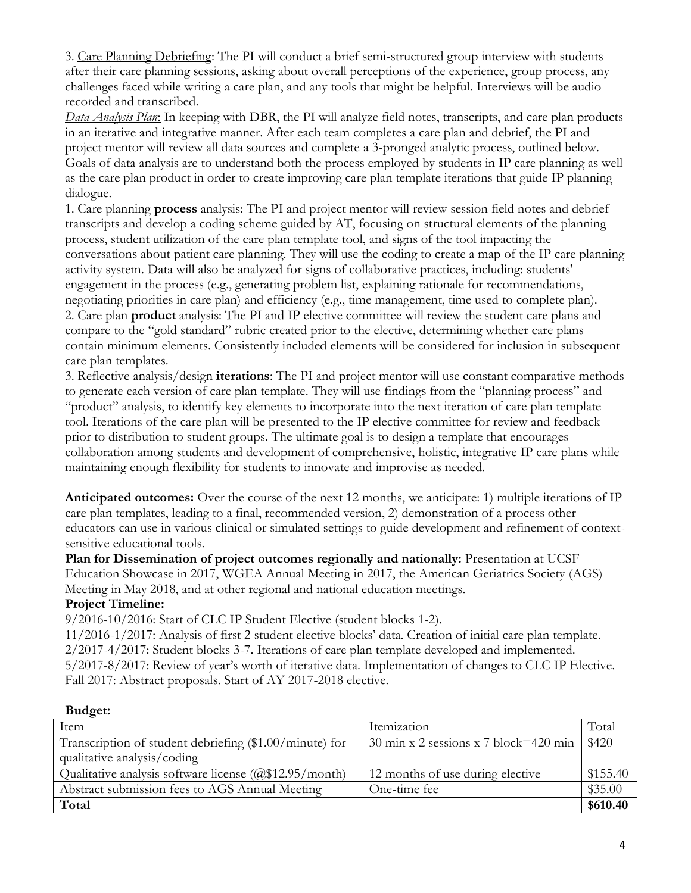3. Care Planning Debriefing: The PI will conduct a brief semi-structured group interview with students after their care planning sessions, asking about overall perceptions of the experience, group process, any challenges faced while writing a care plan, and any tools that might be helpful. Interviews will be audio recorded and transcribed.

*Data Analysis Plan*: In keeping with DBR, the PI will analyze field notes, transcripts, and care plan products in an iterative and integrative manner. After each team completes a care plan and debrief, the PI and project mentor will review all data sources and complete a 3-pronged analytic process, outlined below. Goals of data analysis are to understand both the process employed by students in IP care planning as well as the care plan product in order to create improving care plan template iterations that guide IP planning dialogue.

1. Care planning **process** analysis: The PI and project mentor will review session field notes and debrief transcripts and develop a coding scheme guided by AT, focusing on structural elements of the planning process, student utilization of the care plan template tool, and signs of the tool impacting the conversations about patient care planning. They will use the coding to create a map of the IP care planning activity system. Data will also be analyzed for signs of collaborative practices, including: students' engagement in the process (e.g., generating problem list, explaining rationale for recommendations, negotiating priorities in care plan) and efficiency (e.g., time management, time used to complete plan). 2. Care plan **product** analysis: The PI and IP elective committee will review the student care plans and compare to the "gold standard" rubric created prior to the elective, determining whether care plans contain minimum elements. Consistently included elements will be considered for inclusion in subsequent care plan templates.

3. Reflective analysis/design **iterations**: The PI and project mentor will use constant comparative methods to generate each version of care plan template. They will use findings from the "planning process" and "product" analysis, to identify key elements to incorporate into the next iteration of care plan template tool. Iterations of the care plan will be presented to the IP elective committee for review and feedback prior to distribution to student groups. The ultimate goal is to design a template that encourages collaboration among students and development of comprehensive, holistic, integrative IP care plans while maintaining enough flexibility for students to innovate and improvise as needed.

**Anticipated outcomes:** Over the course of the next 12 months, we anticipate: 1) multiple iterations of IP care plan templates, leading to a final, recommended version, 2) demonstration of a process other educators can use in various clinical or simulated settings to guide development and refinement of contextsensitive educational tools.

**Plan for Dissemination of project outcomes regionally and nationally:** Presentation at UCSF Education Showcase in 2017, WGEA Annual Meeting in 2017, the American Geriatrics Society (AGS) Meeting in May 2018, and at other regional and national education meetings.

#### **Project Timeline:**

9/2016-10/2016: Start of CLC IP Student Elective (student blocks 1-2).

11/2016-1/2017: Analysis of first 2 student elective blocks' data. Creation of initial care plan template. 2/2017-4/2017: Student blocks 3-7. Iterations of care plan template developed and implemented. 5/2017-8/2017: Review of year's worth of iterative data. Implementation of changes to CLC IP Elective. Fall 2017: Abstract proposals. Start of AY 2017-2018 elective.

| Item                                                     | Itemization                                                                 | Total    |
|----------------------------------------------------------|-----------------------------------------------------------------------------|----------|
| Transcription of student debriefing $$1.00/m$ inute) for | $30 \text{ min x } 2 \text{ sessions x } 7 \text{ block} = 420 \text{ min}$ | \$420    |
| qualitative analysis/coding                              |                                                                             |          |
| Qualitative analysis software license $(Q$12.95/month)$  | 12 months of use during elective                                            | \$155.40 |
| Abstract submission fees to AGS Annual Meeting           | One-time fee                                                                | \$35.00  |
| Total                                                    |                                                                             | \$610.40 |

#### **Budget:**